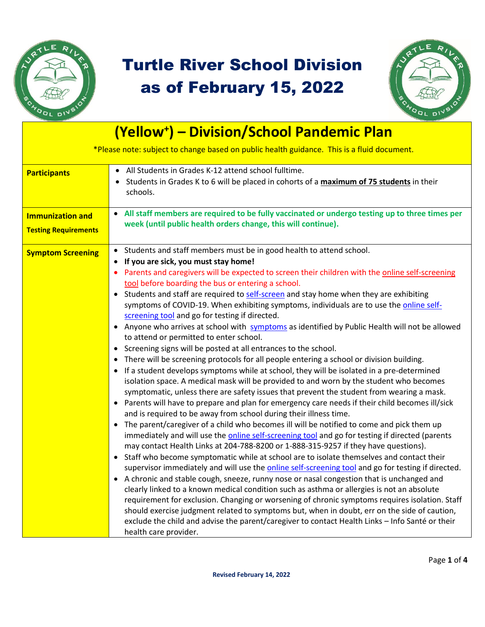

## Turtle River School Division as of February 15, 2022



| (Yellow <sup>+</sup> ) - Division/School Pandemic Plan                                     |                                                                                                                                                                                                                                                                                                                                                                                                                                                                                                                                                                                                                                                                                                                                                                                                                                                                                                                                                                                                                                                                                                                                                                                                                                                                                                                                                                                                                                                                                                                                                                                                                                                                                                                                                                                                                                                                                                                                                                                                                                                                                                                                                                                                                                                                                                                                                                             |  |
|--------------------------------------------------------------------------------------------|-----------------------------------------------------------------------------------------------------------------------------------------------------------------------------------------------------------------------------------------------------------------------------------------------------------------------------------------------------------------------------------------------------------------------------------------------------------------------------------------------------------------------------------------------------------------------------------------------------------------------------------------------------------------------------------------------------------------------------------------------------------------------------------------------------------------------------------------------------------------------------------------------------------------------------------------------------------------------------------------------------------------------------------------------------------------------------------------------------------------------------------------------------------------------------------------------------------------------------------------------------------------------------------------------------------------------------------------------------------------------------------------------------------------------------------------------------------------------------------------------------------------------------------------------------------------------------------------------------------------------------------------------------------------------------------------------------------------------------------------------------------------------------------------------------------------------------------------------------------------------------------------------------------------------------------------------------------------------------------------------------------------------------------------------------------------------------------------------------------------------------------------------------------------------------------------------------------------------------------------------------------------------------------------------------------------------------------------------------------------------------|--|
| *Please note: subject to change based on public health guidance. This is a fluid document. |                                                                                                                                                                                                                                                                                                                                                                                                                                                                                                                                                                                                                                                                                                                                                                                                                                                                                                                                                                                                                                                                                                                                                                                                                                                                                                                                                                                                                                                                                                                                                                                                                                                                                                                                                                                                                                                                                                                                                                                                                                                                                                                                                                                                                                                                                                                                                                             |  |
| <b>Participants</b>                                                                        | All Students in Grades K-12 attend school fulltime.<br>Students in Grades K to 6 will be placed in cohorts of a maximum of 75 students in their<br>$\bullet$<br>schools.                                                                                                                                                                                                                                                                                                                                                                                                                                                                                                                                                                                                                                                                                                                                                                                                                                                                                                                                                                                                                                                                                                                                                                                                                                                                                                                                                                                                                                                                                                                                                                                                                                                                                                                                                                                                                                                                                                                                                                                                                                                                                                                                                                                                    |  |
| <b>Immunization and</b><br><b>Testing Requirements</b>                                     | All staff members are required to be fully vaccinated or undergo testing up to three times per<br>week (until public health orders change, this will continue).                                                                                                                                                                                                                                                                                                                                                                                                                                                                                                                                                                                                                                                                                                                                                                                                                                                                                                                                                                                                                                                                                                                                                                                                                                                                                                                                                                                                                                                                                                                                                                                                                                                                                                                                                                                                                                                                                                                                                                                                                                                                                                                                                                                                             |  |
| <b>Symptom Screening</b>                                                                   | Students and staff members must be in good health to attend school.<br>If you are sick, you must stay home!<br>$\bullet$<br>Parents and caregivers will be expected to screen their children with the online self-screening<br>tool before boarding the bus or entering a school.<br>• Students and staff are required to self-screen and stay home when they are exhibiting<br>symptoms of COVID-19. When exhibiting symptoms, individuals are to use the online self-<br>screening tool and go for testing if directed.<br>Anyone who arrives at school with symptoms as identified by Public Health will not be allowed<br>٠<br>to attend or permitted to enter school.<br>Screening signs will be posted at all entrances to the school.<br>There will be screening protocols for all people entering a school or division building.<br>$\bullet$<br>If a student develops symptoms while at school, they will be isolated in a pre-determined<br>$\bullet$<br>isolation space. A medical mask will be provided to and worn by the student who becomes<br>symptomatic, unless there are safety issues that prevent the student from wearing a mask.<br>Parents will have to prepare and plan for emergency care needs if their child becomes ill/sick<br>$\bullet$<br>and is required to be away from school during their illness time.<br>• The parent/caregiver of a child who becomes ill will be notified to come and pick them up<br>immediately and will use the online self-screening tool and go for testing if directed (parents<br>may contact Health Links at 204-788-8200 or 1-888-315-9257 if they have questions).<br>Staff who become symptomatic while at school are to isolate themselves and contact their<br>$\bullet$<br>supervisor immediately and will use the online self-screening tool and go for testing if directed.<br>A chronic and stable cough, sneeze, runny nose or nasal congestion that is unchanged and<br>clearly linked to a known medical condition such as asthma or allergies is not an absolute<br>requirement for exclusion. Changing or worsening of chronic symptoms requires isolation. Staff<br>should exercise judgment related to symptoms but, when in doubt, err on the side of caution,<br>exclude the child and advise the parent/caregiver to contact Health Links - Info Santé or their<br>health care provider. |  |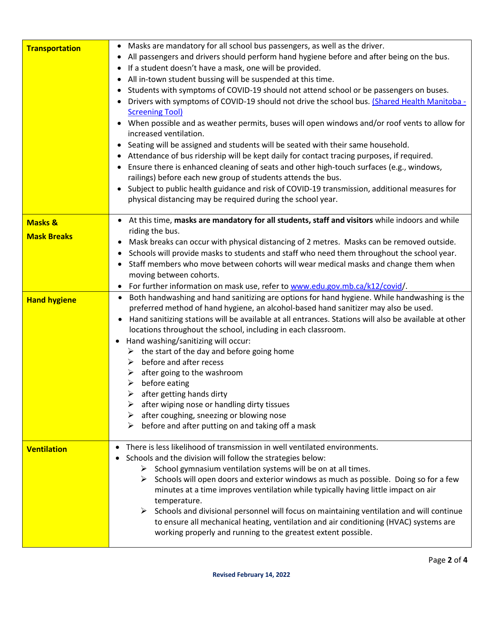| <b>Transportation</b> | Masks are mandatory for all school bus passengers, as well as the driver.<br>$\bullet$<br>All passengers and drivers should perform hand hygiene before and after being on the bus.<br>$\bullet$<br>If a student doesn't have a mask, one will be provided.<br>$\bullet$<br>All in-town student bussing will be suspended at this time.<br>$\bullet$<br>Students with symptoms of COVID-19 should not attend school or be passengers on buses.<br>$\bullet$<br>Drivers with symptoms of COVID-19 should not drive the school bus. (Shared Health Manitoba -<br><b>Screening Tool)</b><br>• When possible and as weather permits, buses will open windows and/or roof vents to allow for<br>increased ventilation.<br>• Seating will be assigned and students will be seated with their same household.<br>Attendance of bus ridership will be kept daily for contact tracing purposes, if required.<br>$\bullet$<br>Ensure there is enhanced cleaning of seats and other high-touch surfaces (e.g., windows,<br>$\bullet$<br>railings) before each new group of students attends the bus.<br>Subject to public health guidance and risk of COVID-19 transmission, additional measures for<br>$\bullet$<br>physical distancing may be required during the school year. |
|-----------------------|-----------------------------------------------------------------------------------------------------------------------------------------------------------------------------------------------------------------------------------------------------------------------------------------------------------------------------------------------------------------------------------------------------------------------------------------------------------------------------------------------------------------------------------------------------------------------------------------------------------------------------------------------------------------------------------------------------------------------------------------------------------------------------------------------------------------------------------------------------------------------------------------------------------------------------------------------------------------------------------------------------------------------------------------------------------------------------------------------------------------------------------------------------------------------------------------------------------------------------------------------------------------------|
| <b>Masks &amp;</b>    | • At this time, masks are mandatory for all students, staff and visitors while indoors and while<br>riding the bus.                                                                                                                                                                                                                                                                                                                                                                                                                                                                                                                                                                                                                                                                                                                                                                                                                                                                                                                                                                                                                                                                                                                                                   |
| <b>Mask Breaks</b>    | Mask breaks can occur with physical distancing of 2 metres. Masks can be removed outside.<br>$\bullet$<br>Schools will provide masks to students and staff who need them throughout the school year.<br>Staff members who move between cohorts will wear medical masks and change them when<br>$\bullet$<br>moving between cohorts.<br>For further information on mask use, refer to www.edu.gov.mb.ca/k12/covid/.<br>$\bullet$                                                                                                                                                                                                                                                                                                                                                                                                                                                                                                                                                                                                                                                                                                                                                                                                                                       |
| <b>Hand hygiene</b>   | Both handwashing and hand sanitizing are options for hand hygiene. While handwashing is the<br>$\bullet$<br>preferred method of hand hygiene, an alcohol-based hand sanitizer may also be used.<br>Hand sanitizing stations will be available at all entrances. Stations will also be available at other<br>locations throughout the school, including in each classroom.<br>Hand washing/sanitizing will occur:<br>$\bullet$<br>$\triangleright$ the start of the day and before going home<br>before and after recess<br>➤<br>after going to the washroom<br>➤<br>before eating<br>➤<br>after getting hands dirty<br>after wiping nose or handling dirty tissues<br>after coughing, sneezing or blowing nose<br>➤<br>before and after putting on and taking off a mask<br>➤                                                                                                                                                                                                                                                                                                                                                                                                                                                                                         |
| <b>Ventilation</b>    | There is less likelihood of transmission in well ventilated environments.<br>Schools and the division will follow the strategies below:<br>$\triangleright$ School gymnasium ventilation systems will be on at all times.<br>Schools will open doors and exterior windows as much as possible. Doing so for a few<br>➤<br>minutes at a time improves ventilation while typically having little impact on air<br>temperature.<br>Schools and divisional personnel will focus on maintaining ventilation and will continue<br>to ensure all mechanical heating, ventilation and air conditioning (HVAC) systems are<br>working properly and running to the greatest extent possible.                                                                                                                                                                                                                                                                                                                                                                                                                                                                                                                                                                                    |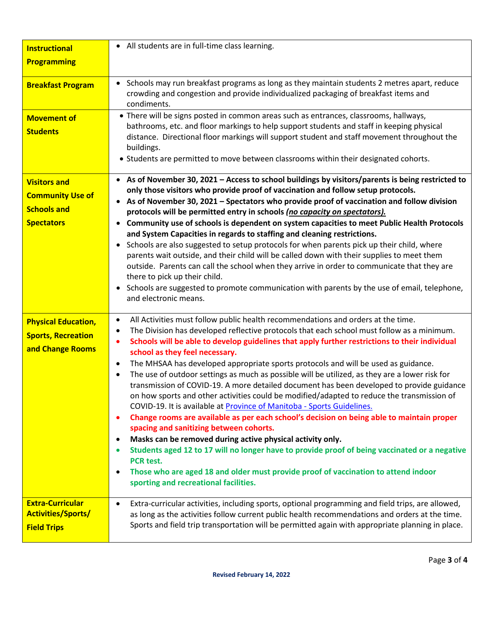| <b>Instructional</b><br><b>Programming</b>                                                | • All students are in full-time class learning.                                                                                                                                                                                                                                                                                                                                                                                                                                                                                                                                                                                                                                                                                                                                                                                                                                                                                                                                                                                                                                                                                                                                                                                                                                                                                 |
|-------------------------------------------------------------------------------------------|---------------------------------------------------------------------------------------------------------------------------------------------------------------------------------------------------------------------------------------------------------------------------------------------------------------------------------------------------------------------------------------------------------------------------------------------------------------------------------------------------------------------------------------------------------------------------------------------------------------------------------------------------------------------------------------------------------------------------------------------------------------------------------------------------------------------------------------------------------------------------------------------------------------------------------------------------------------------------------------------------------------------------------------------------------------------------------------------------------------------------------------------------------------------------------------------------------------------------------------------------------------------------------------------------------------------------------|
| <b>Breakfast Program</b>                                                                  | Schools may run breakfast programs as long as they maintain students 2 metres apart, reduce<br>$\bullet$<br>crowding and congestion and provide individualized packaging of breakfast items and<br>condiments.                                                                                                                                                                                                                                                                                                                                                                                                                                                                                                                                                                                                                                                                                                                                                                                                                                                                                                                                                                                                                                                                                                                  |
| <b>Movement of</b><br><b>Students</b>                                                     | • There will be signs posted in common areas such as entrances, classrooms, hallways,<br>bathrooms, etc. and floor markings to help support students and staff in keeping physical<br>distance. Directional floor markings will support student and staff movement throughout the<br>buildings.<br>• Students are permitted to move between classrooms within their designated cohorts.                                                                                                                                                                                                                                                                                                                                                                                                                                                                                                                                                                                                                                                                                                                                                                                                                                                                                                                                         |
| <b>Visitors and</b><br><b>Community Use of</b><br><b>Schools and</b><br><b>Spectators</b> | • As of November 30, 2021 - Access to school buildings by visitors/parents is being restricted to<br>only those visitors who provide proof of vaccination and follow setup protocols.<br>• As of November 30, 2021 – Spectators who provide proof of vaccination and follow division<br>protocols will be permitted entry in schools (no capacity on spectators).<br>Community use of schools is dependent on system capacities to meet Public Health Protocols<br>and System Capacities in regards to staffing and cleaning restrictions.<br>Schools are also suggested to setup protocols for when parents pick up their child, where<br>$\bullet$<br>parents wait outside, and their child will be called down with their supplies to meet them<br>outside. Parents can call the school when they arrive in order to communicate that they are<br>there to pick up their child.<br>Schools are suggested to promote communication with parents by the use of email, telephone,<br>$\bullet$<br>and electronic means.                                                                                                                                                                                                                                                                                                         |
| <b>Physical Education,</b><br><b>Sports, Recreation</b><br>and Change Rooms               | All Activities must follow public health recommendations and orders at the time.<br>$\bullet$<br>The Division has developed reflective protocols that each school must follow as a minimum.<br>٠<br>Schools will be able to develop guidelines that apply further restrictions to their individual<br>$\bullet$<br>school as they feel necessary.<br>The MHSAA has developed appropriate sports protocols and will be used as guidance.<br>$\bullet$<br>The use of outdoor settings as much as possible will be utilized, as they are a lower risk for<br>$\bullet$<br>transmission of COVID-19. A more detailed document has been developed to provide guidance<br>on how sports and other activities could be modified/adapted to reduce the transmission of<br>COVID-19. It is available at Province of Manitoba - Sports Guidelines.<br>Change rooms are available as per each school's decision on being able to maintain proper<br>٠<br>spacing and sanitizing between cohorts.<br>Masks can be removed during active physical activity only.<br>$\bullet$<br>Students aged 12 to 17 will no longer have to provide proof of being vaccinated or a negative<br>$\bullet$<br>PCR test.<br>Those who are aged 18 and older must provide proof of vaccination to attend indoor<br>٠<br>sporting and recreational facilities. |
| <b>Extra-Curricular</b><br><b>Activities/Sports/</b><br><b>Field Trips</b>                | Extra-curricular activities, including sports, optional programming and field trips, are allowed,<br>$\bullet$<br>as long as the activities follow current public health recommendations and orders at the time.<br>Sports and field trip transportation will be permitted again with appropriate planning in place.                                                                                                                                                                                                                                                                                                                                                                                                                                                                                                                                                                                                                                                                                                                                                                                                                                                                                                                                                                                                            |